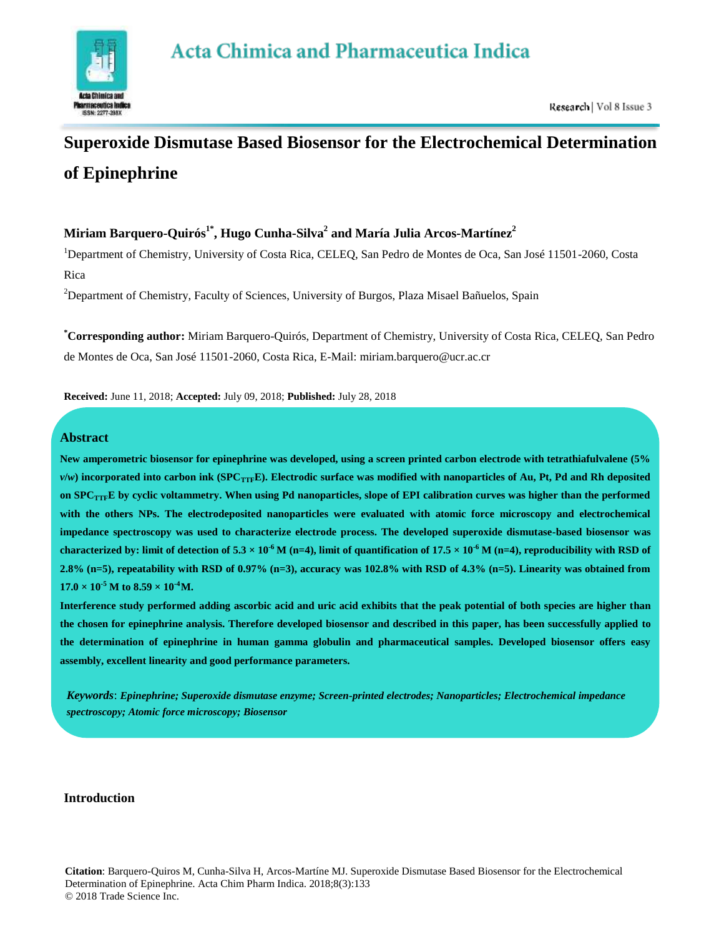# **Acta Chimica and Pharmaceutica Indica**



# **Superoxide Dismutase Based Biosensor for the Electrochemical Determination of Epinephrine**

# **Miriam Barquero-Quirós1\*, Hugo Cunha-Silva<sup>2</sup> and María Julia Arcos-Martínez<sup>2</sup>**

<sup>1</sup>Department of Chemistry, University of Costa Rica, CELEQ, San Pedro de Montes de Oca, San José 11501-2060, Costa Rica

<sup>2</sup>Department of Chemistry, Faculty of Sciences, University of Burgos, Plaza Misael Bañuelos, Spain

**\*Corresponding author:** Miriam Barquero-Quirós, Department of Chemistry, University of Costa Rica, CELEQ, San Pedro de Montes de Oca, San José 11501-2060, Costa Rica, E-Mail: [miriam.barquero@ucr.ac.cr](mailto:miriam.barquero@ucr.ac.cr)

**Received:** June 11, 2018; **Accepted:** July 09, 2018; **Published:** July 28, 2018

# **Abstract**

**New amperometric biosensor for epinephrine was developed, using a screen printed carbon electrode with tetrathiafulvalene (5%**  $v/w$ ) incorporated into carbon ink (SPC<sub>TTF</sub>E). Electrodic surface was modified with nanoparticles of Au, Pt, Pd and Rh deposited **on SPCTTFE by cyclic voltammetry. When using Pd nanoparticles, slope of EPI calibration curves was higher than the performed with the others NPs. The electrodeposited nanoparticles were evaluated with atomic force microscopy and electrochemical impedance spectroscopy was used to characterize electrode process. The developed superoxide dismutase-based biosensor was**  characterized by: limit of detection of 5.3  $\times$  10<sup>-6</sup> M (n=4), limit of quantification of 17.5  $\times$  10<sup>-6</sup> M (n=4), reproducibility with RSD of **2.8% (n=5), repeatability with RSD of 0.97% (n=3), accuracy was 102.8% with RSD of 4.3% (n=5). Linearity was obtained from**   $17.0 \times 10^{-5}$  M to  $8.59 \times 10^{-4}$ M.

**Interference study performed adding ascorbic acid and uric acid exhibits that the peak potential of both species are higher than the chosen for epinephrine analysis. Therefore developed biosensor and described in this paper, has been successfully applied to the determination of epinephrine in human gamma globulin and pharmaceutical samples. Developed biosensor offers easy assembly, excellent linearity and good performance parameters.**

*Keywords*: *Epinephrine; Superoxide dismutase enzyme; Screen-printed electrodes; Nanoparticles; Electrochemical impedance spectroscopy; Atomic force microscopy; Biosensor*

# **Introduction**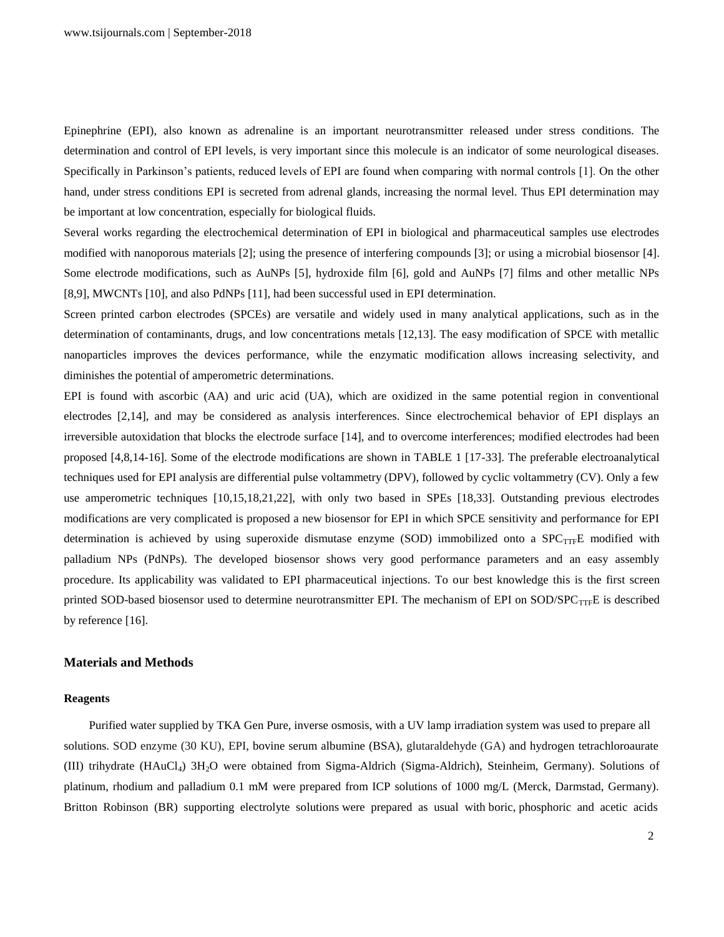Epinephrine (EPI), also known as adrenaline is an important neurotransmitter released under stress conditions. The determination and control of EPI levels, is very important since this molecule is an indicator of some neurological diseases. Specifically in Parkinson's patients, reduced levels of EPI are found when comparing with normal controls [1]. On the other hand, under stress conditions EPI is secreted from adrenal glands, increasing the normal level. Thus EPI determination may be important at low concentration, especially for biological fluids.

Several works regarding the electrochemical determination of EPI in biological and pharmaceutical samples use electrodes modified with nanoporous materials [2]; using the presence of interfering compounds [3]; or using a microbial biosensor [4]. Some electrode modifications, such as AuNPs [5], hydroxide film [6], gold and AuNPs [7] films and other metallic NPs [8,9], MWCNTs [10], and also PdNPs [11], had been successful used in EPI determination.

Screen printed carbon electrodes (SPCEs) are versatile and widely used in many analytical applications, such as in the determination of contaminants, drugs, and low concentrations metals [12,13]. The easy modification of SPCE with metallic nanoparticles improves the devices performance, while the enzymatic modification allows increasing selectivity, and diminishes the potential of amperometric determinations.

EPI is found with ascorbic (AA) and uric acid (UA), which are oxidized in the same potential region in conventional electrodes [2,14], and may be considered as analysis interferences. Since electrochemical behavior of EPI displays an irreversible autoxidation that blocks the electrode surface [14], and to overcome interferences; modified electrodes had been proposed [4,8,14-16]. Some of the electrode modifications are shown in TABLE 1 [17-33]. The preferable electroanalytical techniques used for EPI analysis are differential pulse voltammetry (DPV), followed by cyclic voltammetry (CV). Only a few use amperometric techniques [10,15,18,21,22], with only two based in SPEs [18,33]. Outstanding previous electrodes modifications are very complicated is proposed a new biosensor for EPI in which SPCE sensitivity and performance for EPI determination is achieved by using superoxide dismutase enzyme (SOD) immobilized onto a SPCTTFE modified with palladium NPs (PdNPs). The developed biosensor shows very good performance parameters and an easy assembly procedure. Its applicability was validated to EPI pharmaceutical injections. To our best knowledge this is the first screen printed SOD-based biosensor used to determine neurotransmitter EPI. The mechanism of EPI on SOD/SPC $_{TTF}$ E is described by reference [16].

#### **Materials and Methods**

#### **Reagents**

Purified water supplied by TKA Gen Pure, inverse osmosis, with a UV lamp irradiation system was used to prepare all solutions. SOD enzyme (30 KU), EPI, bovine serum albumine (BSA), glutaraldehyde (GA) and hydrogen tetrachloroaurate (III) trihydrate (HAuCl4) 3H2O were obtained from Sigma-Aldrich (Sigma-Aldrich), Steinheim, Germany). Solutions of platinum, rhodium and palladium 0.1 mM were prepared from ICP solutions of 1000 mg/L (Merck, Darmstad, Germany). Britton Robinson (BR) supporting electrolyte solutions were prepared as usual with boric, phosphoric and acetic acids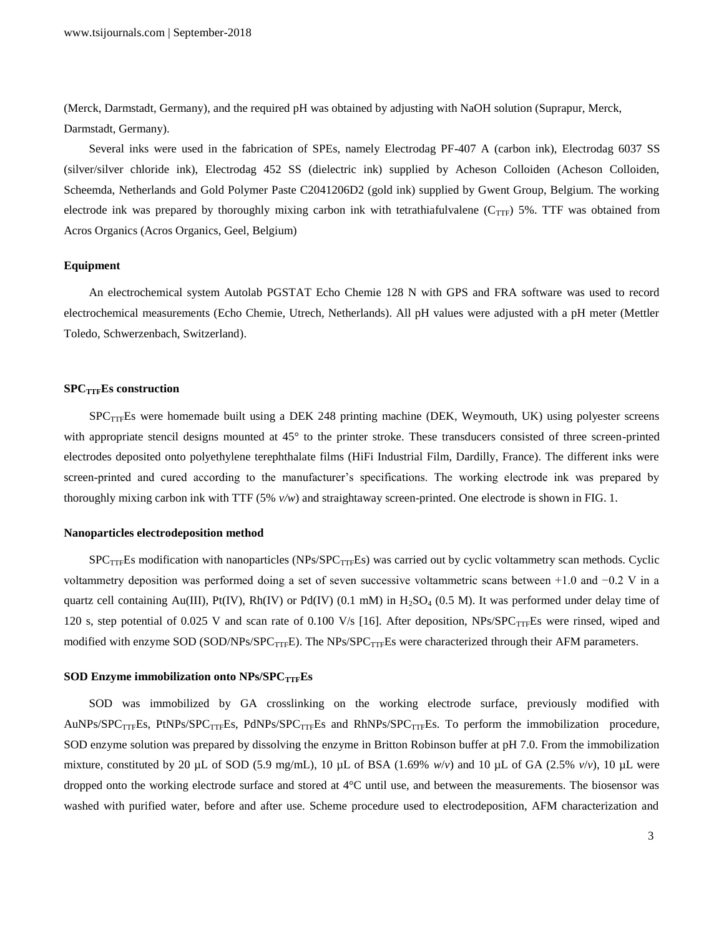(Merck, Darmstadt, Germany), and the required pH was obtained by adjusting with NaOH solution (Suprapur, Merck, Darmstadt, Germany).

Several inks were used in the fabrication of SPEs, namely Electrodag PF-407 A (carbon ink), Electrodag 6037 SS (silver/silver chloride ink), Electrodag 452 SS (dielectric ink) supplied by Acheson Colloiden (Acheson Colloiden, Scheemda, Netherlands and Gold Polymer Paste C2041206D2 (gold ink) supplied by Gwent Group, Belgium. The working electrode ink was prepared by thoroughly mixing carbon ink with tetrathiafulvalene ( $C_{TTF}$ ) 5%. TTF was obtained from Acros Organics (Acros Organics, Geel, Belgium)

#### **Equipment**

An electrochemical system Autolab PGSTAT Echo Chemie 128 N with GPS and FRA software was used to record electrochemical measurements (Echo Chemie, Utrech, Netherlands). All pH values were adjusted with a pH meter (Mettler Toledo, Schwerzenbach, Switzerland).

#### **SPCTTFEs construction**

SPC<sub>TTF</sub>Es were homemade built using a DEK 248 printing machine (DEK, Weymouth, UK) using polyester screens with appropriate stencil designs mounted at 45° to the printer stroke. These transducers consisted of three screen-printed electrodes deposited onto polyethylene terephthalate films (HiFi Industrial Film, Dardilly, France). The different inks were screen-printed and cured according to the manufacturer's specifications. The working electrode ink was prepared by thoroughly mixing carbon ink with TTF (5% *v/w*) and straightaway screen-printed. One electrode is shown in FIG. 1.

#### **Nanoparticles electrodeposition method**

 $SPC_{TTF}$ Es modification with nanoparticles (NPs/SPC $_{TTF}$ Es) was carried out by cyclic voltammetry scan methods. Cyclic voltammetry deposition was performed doing a set of seven successive voltammetric scans between +1.0 and −0.2 V in a quartz cell containing Au(III), Pt(IV), Rh(IV) or Pd(IV) (0.1 mM) in  $H_2SO_4$  (0.5 M). It was performed under delay time of 120 s, step potential of 0.025 V and scan rate of 0.100 V/s [16]. After deposition,  $NPs/SPC<sub>TTF</sub>Es$  were rinsed, wiped and modified with enzyme SOD (SOD/NPs/SPC<sub>TTF</sub>E). The NPs/SPC<sub>TTF</sub>Es were characterized through their AFM parameters.

#### **SOD Enzyme immobilization onto NPs/SPCTTFEs**

SOD was immobilized by GA crosslinking on the working electrode surface, previously modified with AuNPs/SPC<sub>TTF</sub>Es, PtNPs/SPC<sub>TTF</sub>Es, PdNPs/SPC<sub>TTF</sub>Es and RhNPs/SPC<sub>TTF</sub>Es. To perform the immobilization procedure, SOD enzyme solution was prepared by dissolving the enzyme in Britton Robinson buffer at pH 7.0. From the immobilization mixture, constituted by 20 µL of SOD (5.9 mg/mL), 10 µL of BSA (1.69% *w*/*v*) and 10 µL of GA (2.5% *v*/*v*), 10 µL were dropped onto the working electrode surface and stored at 4°C until use, and between the measurements. The biosensor was washed with purified water, before and after use. Scheme procedure used to electrodeposition, AFM characterization and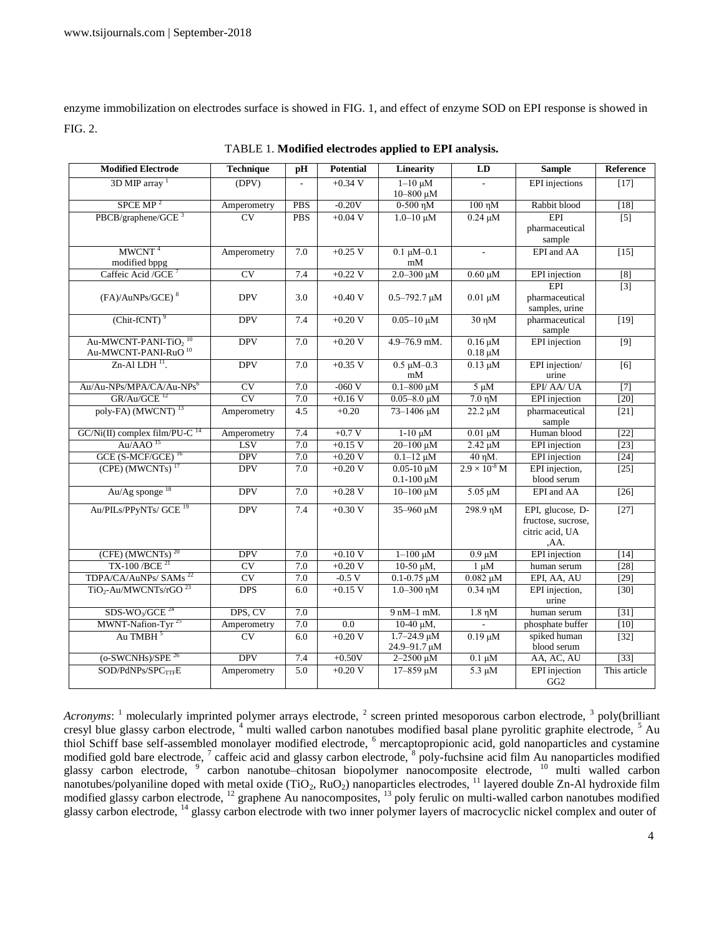enzyme immobilization on electrodes surface is showed in FIG. 1, and effect of enzyme SOD on EPI response is showed in FIG. 2.

| <b>Modified Electrode</b>                                                       | <b>Technique</b>    | pH               | <b>Potential</b> | Linearity                              | LD                           | <b>Sample</b>                           | <b>Reference</b> |
|---------------------------------------------------------------------------------|---------------------|------------------|------------------|----------------------------------------|------------------------------|-----------------------------------------|------------------|
| $3D$ MIP array <sup>1</sup>                                                     | (DPV)               |                  | $+0.34$ V        | $1-10 \mu M$<br>10-800 μM              |                              | EPI injections                          | $[17]$           |
| S PCE MP <sup>2</sup>                                                           | Amperometry         | <b>PBS</b>       | $-0.20V$         | $0-500$ η $M$                          | $100$ η $M$                  | Rabbit blood                            | $[18]$           |
| PBCB/graphene/GCE $^3$                                                          | $\overline{\rm CV}$ | <b>PBS</b>       | $+0.04 V$        | $1.0 - 10 \mu M$                       | $0.24 \mu M$                 | EPI<br>pharmaceutical                   | $\overline{[5]}$ |
|                                                                                 |                     |                  |                  |                                        |                              | sample                                  |                  |
| MWCNT <sup>4</sup><br>modified bppg                                             | Amperometry         | 7.0              | $+0.25$ V        | $0.1 \mu M - 0.1$<br>mM                | $\sim$                       | EPI and AA                              | $[15]$           |
| Caffeic Acid / GCE                                                              | CV                  | 7.4              | $+0.22$ V        | $2.0 - 300 \mu M$                      | $0.60 \mu M$                 | <b>EPI</b> injection                    | [8]              |
|                                                                                 |                     |                  |                  |                                        |                              | EPI                                     | $[3]$            |
| (FA)/AuNPs/GCE) <sup>8</sup>                                                    | <b>DPV</b>          | 3.0              | $+0.40$ V        | $0.5 - 792.7 \mu M$                    | $0.01 \mu M$                 | pharmaceutical<br>samples, urine        |                  |
| $(Chit$ -fCNT $)$ <sup>9</sup>                                                  | <b>DPV</b>          | 7.4              | $+0.20V$         | $0.05 - 10 \mu M$                      | $30 \text{ }\eta\text{M}$    | pharmaceutical<br>sample                | $[19]$           |
| Au-MWCNT-PANI-TiO <sub>2</sub> <sup>10</sup><br>Au-MWCNT-PANI-RuO <sup>10</sup> | <b>DPV</b>          | 7.0              | $+0.20V$         | 4.9-76.9 mM.                           | $0.16 \mu M$<br>$0.18 \mu M$ | <b>EPI</b> injection                    | $\overline{[9]}$ |
| Zn-Al LDH <sup>11</sup> .                                                       | <b>DPV</b>          | 7.0              | $+0.35$ V        | $0.5 \mu M - 0.3$<br>mM                | $0.13 \mu M$                 | EPI injection/<br>urine                 | $\overline{[6]}$ |
| Au/Au-NPs/MPA/CA/Au-NPs <sup>6</sup>                                            | CV                  | 7.0              | $-060V$          | $0.1 - 800 \mu M$                      | $5 \mu M$                    | EPI/ AA/ UA                             | $[7]$            |
| $GR/Au/GCE$ <sup>12</sup>                                                       | CV                  | 7.0              | $+0.16$ V        | $0.05 - 8.0 \mu M$                     | $7.0 \text{ }\eta\text{M}$   | <b>EPI</b> injection                    | $[20]$           |
| poly-FA) (MWCNT) <sup>13</sup>                                                  | Amperometry         | 4.5              | $+0.20$          | 73-1406 μM                             | $22.2 \mu M$                 | pharmaceutical<br>sample                | $[21]$           |
| $GC/Ni(II)$ complex film/PU-C <sup>14</sup>                                     | Amperometry         | 7.4              | $+0.7 V$         | $1-10 \mu M$                           | $0.01 \mu M$                 | Human blood                             | $[22]$           |
| Au/AAO <sup>15</sup>                                                            | <b>LSV</b>          | 7.0              | $+0.15$ V        | $20 - 100$ uM                          | $2.42 \mu M$                 | <b>EPI</b> injection                    | [23]             |
| GCE (S-MCF/GCE) <sup>16</sup>                                                   | <b>DPV</b>          | 7.0              | $+0.20V$         | $0.1 - 12 \mu M$                       | $40$ η $M$ .                 | <b>EPI</b> injection                    | $[24]$           |
| $(CPE)$ (MWCNTs) <sup>17</sup>                                                  | <b>DPV</b>          | $\overline{7.0}$ | $+0.20V$         | $0.05 - 10 \mu M$<br>$0.1 - 100 \mu M$ | $2.9 \times 10^{8}$ M        | EPI injection,<br>blood serum           | $[25]$           |
| Au/Ag sponge <sup>18</sup>                                                      | <b>DPV</b>          | 7.0              | $+0.28 V$        | $10 - 100 \mu M$                       | $5.05 \mu M$                 | EPI and AA                              | $\boxed{26}$     |
| Au/PILs/PPyNTs/ GCE <sup>19</sup>                                               | <b>DPV</b>          | 7.4              | $+0.30 V$        | $35 - 960 \mu M$                       | 298.9 ηΜ                     | EPI, glucose, D-                        | $\boxed{27}$     |
|                                                                                 |                     |                  |                  |                                        |                              | fructose, sucrose,<br>citric acid, UA   |                  |
|                                                                                 |                     |                  |                  |                                        |                              | ,AA.                                    |                  |
| $(CFE)$ (MWCNTs) <sup>20</sup>                                                  | <b>DPV</b>          | 7.0              | $+0.10 V$        | $1 - 100 \mu M$                        | $0.9 \mu M$                  | <b>EPI</b> injection                    | $[14]$           |
| TX-100/BCE <sup>21</sup>                                                        | CV                  | 7.0              | $+0.20V$         | $10-50 \mu M$ ,                        | $1 \mu M$                    | human serum                             | $[28]$           |
| TDPA/CA/AuNPs/ SAMs <sup>22</sup>                                               | CV                  | 7.0              | $-0.5V$          | $0.1 - 0.75 \mu M$                     | $0.082 \mu M$                | EPI, AA, AU                             | $[29]$           |
| $TiO2$ -Au/MWCNTs/rGO <sup>23</sup>                                             | <b>DPS</b>          | 6.0              | $+0.15$ V        | $1.0 - 300$ ηM                         | $0.34$ nM                    | EPI injection,<br>urine                 | $[30]$           |
| $SDS-WO3/GCE24$                                                                 | DPS, CV             | 7.0              |                  | $9$ nM $-1$ mM.                        | $1.8$ η $M$                  | human serum                             | $[31]$           |
| MWNT-Nafion-Tyr <sup>25</sup>                                                   | Amperometry         | 7.0              | 0.0              | $10-40 \mu M$ ,                        |                              | phosphate buffer                        | $[10]$           |
| Au TMBH <sup>5</sup>                                                            | CV                  | 6.0              | $+0.20V$         | $1.7 - 24.9 \mu M$<br>24.9-91.7 µM     | $0.19 \mu M$                 | spiked human<br>blood serum             | $[32]$           |
| $(o-SWCNHs)/SPE26$                                                              | <b>DPV</b>          | 7.4              | $+0.50V$         | $2 - 2500 \mu M$                       | $0.1 \mu M$                  | AA, AC, AU                              | $[33]$           |
| $\text{SOD}/\text{PdNPs}/\text{SPC}_{\text{TTF}}\text{E}$                       | Amperometry         | 5.0              | $+0.20$ V        | 17-859 μM                              | $5.3 \mu M$                  | <b>EPI</b> injection<br>GG <sub>2</sub> | This article     |

TABLE 1. **Modified electrodes applied to EPI analysis.**

Acronyms: <sup>1</sup> molecularly imprinted polymer arrays electrode, <sup>2</sup> screen printed mesoporous carbon electrode, <sup>3</sup> poly(brilliant cresyl blue glassy carbon electrode,  $4$  multi walled carbon nanotubes modified basal plane pyrolitic graphite electrode,  $5$  Au thiol Schiff base self-assembled monolayer modified electrode, <sup>6</sup> mercaptopropionic acid, gold nanoparticles and cystamine modified gold bare electrode,  $\frac{7}{1}$  caffeic acid and glassy carbon electrode,  $\frac{8}{1}$  poly-fuchsine acid film Au nanoparticles modified glassy carbon electrode, <sup>9</sup> carbon nanotube–chitosan biopolymer nanocomposite electrode, <sup>10</sup> multi walled carbon nanotubes/polyaniline doped with metal oxide (TiO<sub>2</sub>, RuO<sub>2</sub>) nanoparticles electrodes, <sup>11</sup> layered double Zn-Al hydroxide film modified glassy carbon electrode, <sup>12</sup> graphene Au nanocomposites, <sup>13</sup> poly ferulic on multi-walled carbon nanotubes modified glassy carbon electrode, <sup>14</sup> glassy carbon electrode with two inner polymer layers of macrocyclic nickel complex and outer of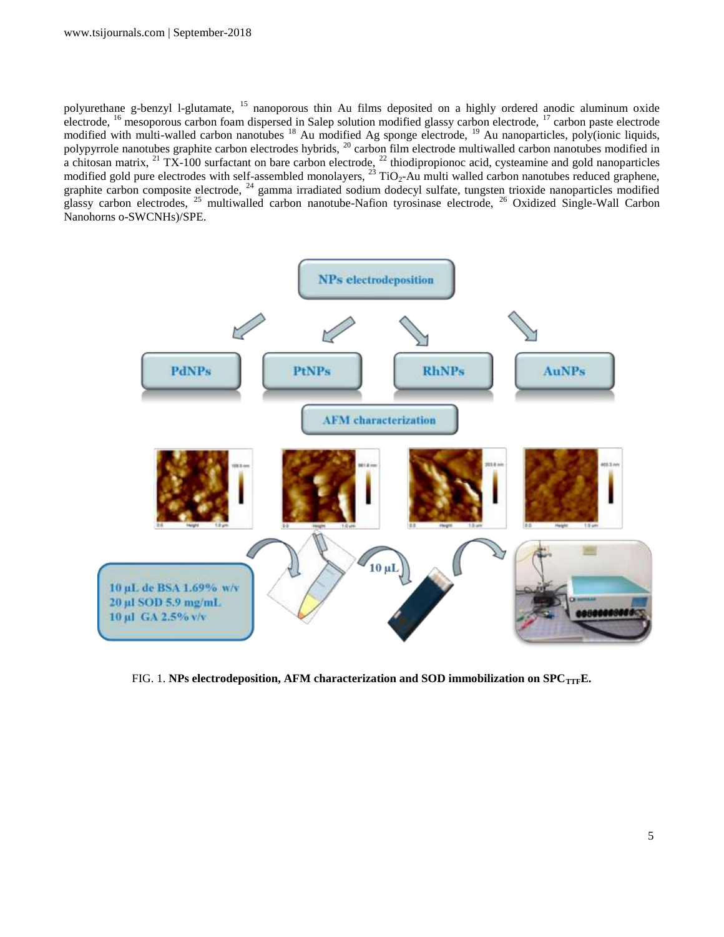polyurethane g-benzyl l-glutamate, <sup>15</sup> nanoporous thin Au films deposited on a highly ordered anodic aluminum oxide electrode, <sup>16</sup> mesoporous carbon foam dispersed in Salep solution modified glassy carbon electrode, <sup>17</sup> carbon paste electrode modified with multi-walled carbon nanotubes <sup>18</sup> Au modified Ag sponge electrode, <sup>19</sup> Au nanoparticles, poly(ionic liquids, polypyrrole nanotubes graphite carbon electrodes hybrids, <sup>20</sup> carbon film electrode multiwalled carbon nanotubes modified in a chitosan matrix,  $^{21}$  TX-100 surfactant on bare carbon electrode,  $^{22}$  thiodipropionoc acid, cysteamine and gold nanoparticles modified gold pure electrodes with self-assembled monolayers,  $^{23}$  TiO<sub>2</sub>-Au multi walled carbon nanotubes reduced graphene, graphite carbon composite electrode,  $24$  gamma irradiated sodium dodecyl sulfate, tungsten trioxide nanoparticles modified glassy carbon electrodes, <sup>25</sup> multiwalled carbon nanotube-Nafion tyrosinase electrode, <sup>26</sup> Oxidized Single-Wall Carbon Nanohorns o-SWCNHs)/SPE.



FIG. 1. **NPs electrodeposition, AFM characterization and SOD immobilization on SPC**<sub>TTF</sub>**E**.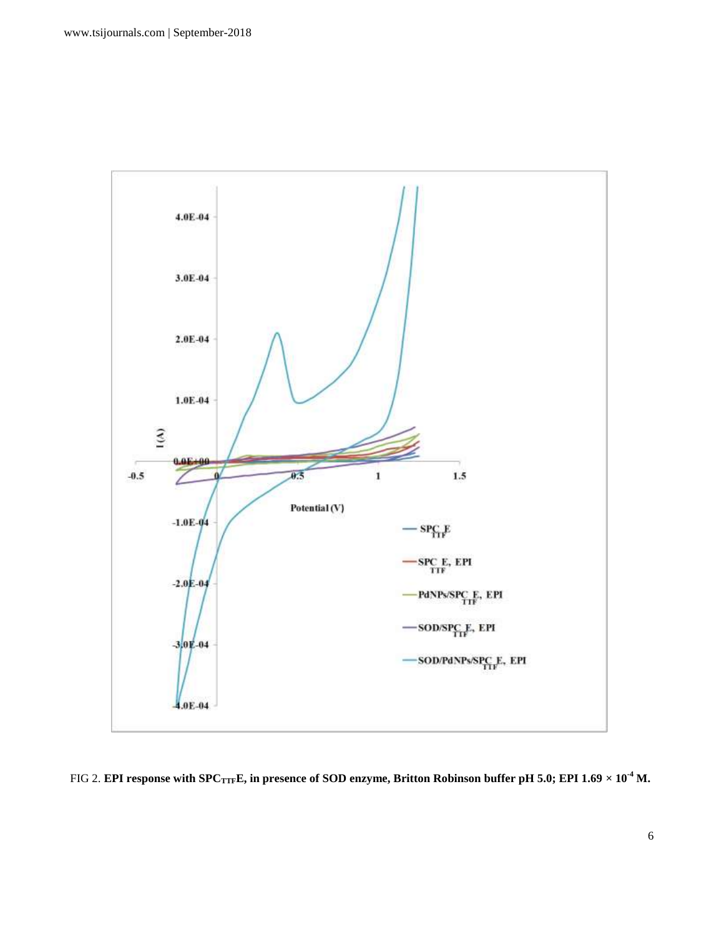

FIG 2. **EPI response with SPC<sub>TTF</sub>E, in presence of SOD enzyme, Britton Robinson buffer pH 5.0; EPI 1.69**  $\times$  **10<sup>-4</sup> M.**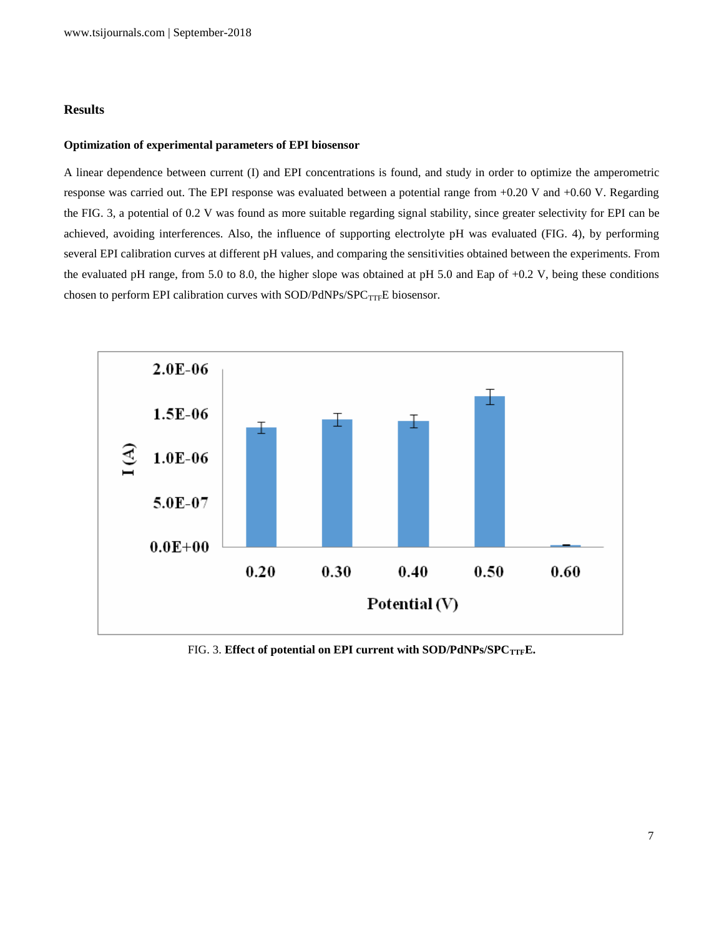#### **Results**

### **Optimization of experimental parameters of EPI biosensor**

A linear dependence between current (I) and EPI concentrations is found, and study in order to optimize the amperometric response was carried out. The EPI response was evaluated between a potential range from +0.20 V and +0.60 V. Regarding the FIG. 3, a potential of 0.2 V was found as more suitable regarding signal stability, since greater selectivity for EPI can be achieved, avoiding interferences. Also, the influence of supporting electrolyte pH was evaluated (FIG. 4), by performing several EPI calibration curves at different pH values, and comparing the sensitivities obtained between the experiments. From the evaluated pH range, from 5.0 to 8.0, the higher slope was obtained at pH 5.0 and Eap of +0.2 V, being these conditions chosen to perform EPI calibration curves with SOD/PdNPs/SPC $_{\mathrm{TTF}}$ E biosensor.



FIG. 3. Effect of potential on EPI current with SOD/PdNPs/SPC<sub>TTF</sub>E.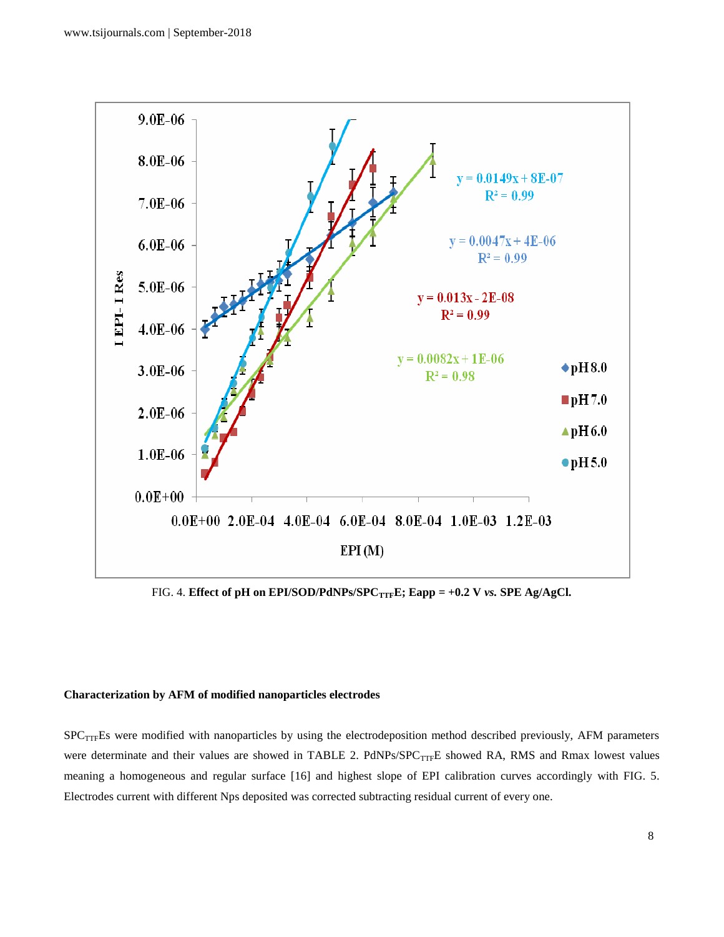

FIG. 4. **Effect of pH on EPI/SOD/PdNPs/SPC<sub>TTF</sub>E; Eapp = +0.2 V** *vs***. SPE Ag/AgCl.** 

# **Characterization by AFM of modified nanoparticles electrodes**

SPC<sub>TTF</sub>Es were modified with nanoparticles by using the electrodeposition method described previously, AFM parameters were determinate and their values are showed in TABLE 2. PdNPs/SPC<sub>TTF</sub>E showed RA, RMS and Rmax lowest values meaning a homogeneous and regular surface [16] and highest slope of EPI calibration curves accordingly with FIG. 5. Electrodes current with different Nps deposited was corrected subtracting residual current of every one.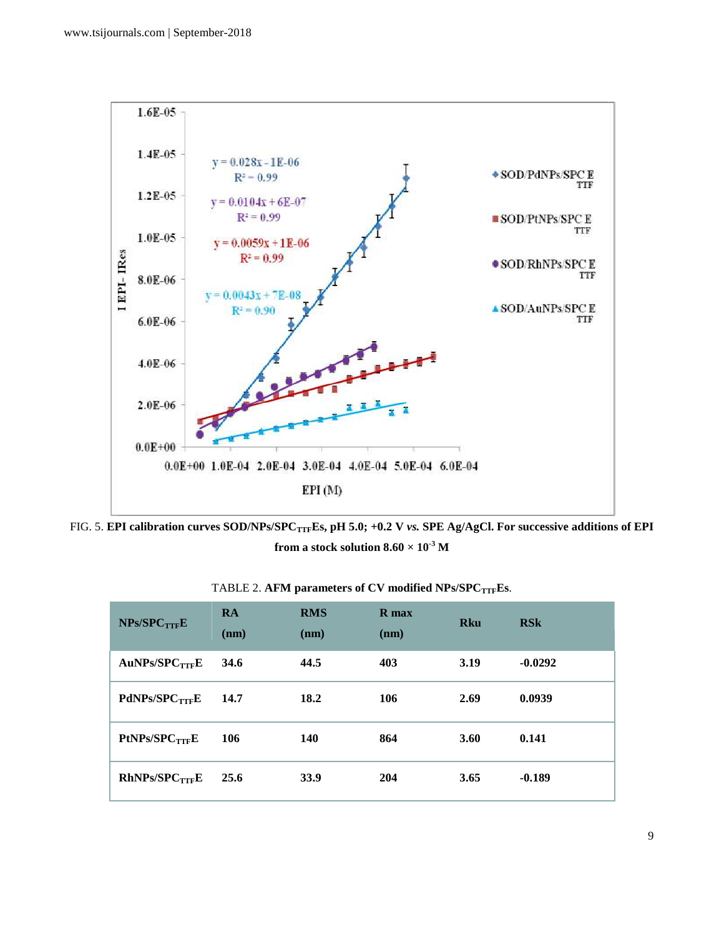

FIG. 5. **EPI calibration curves SOD/NPs/SPCTTFEs, pH 5.0; +0.2 V** *vs.* **SPE Ag/AgCl. For successive additions of EPI from a stock solution**  $8.60 \times 10^{-3}$  **M** 

| $NPs/SPC$ <sub>TTF</sub> $E$ | <b>RA</b><br>(nm) | <b>RMS</b><br>(nm) | R max<br>(nm) | <b>Rku</b>  | <b>RSk</b> |
|------------------------------|-------------------|--------------------|---------------|-------------|------------|
| AuNPs/SPC <sub>TTF</sub> E   | 34.6              | 44.5               | 403           | 3.19        | $-0.0292$  |
| PdNPs/SPC <sub>TTF</sub> E   | 14.7              | 18.2               | 106           | 2.69        | 0.0939     |
| PtNPs/SPC <sub>TTF</sub> E   | 106               | <b>140</b>         | 864           | <b>3.60</b> | 0.141      |
| RhNPs/SPC <sub>TTF</sub> E   | 25.6              | 33.9               | 204           | 3.65        | $-0.189$   |

TABLE 2. **AFM parameters of CV modified NPs/SPCTTFEs**.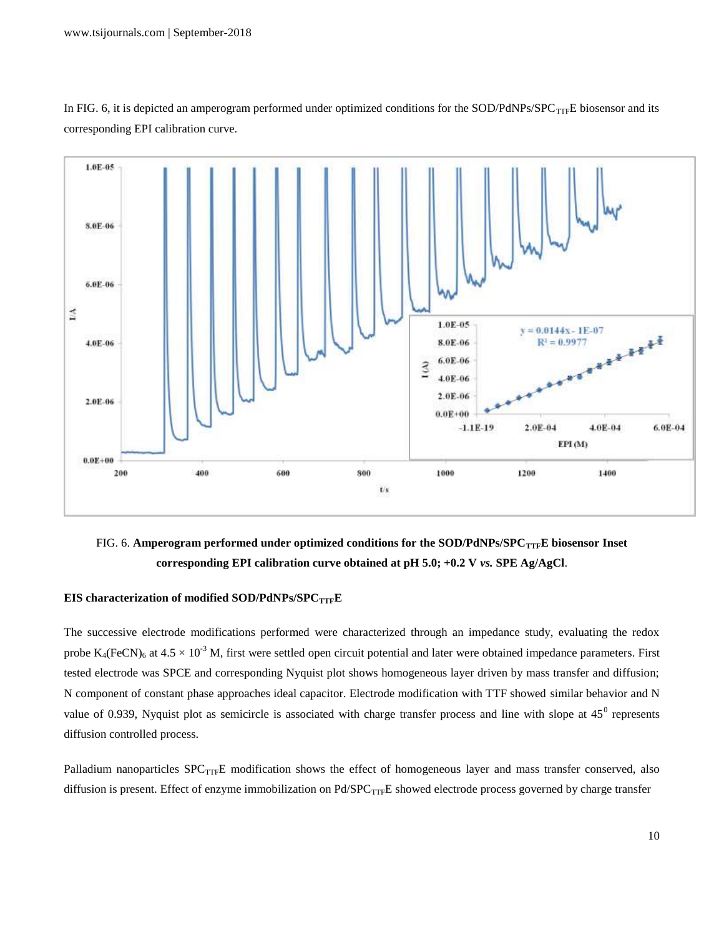



FIG. 6. Amperogram performed under optimized conditions for the SOD/PdNPs/SPC<sub>TTF</sub>E biosensor Inset **corresponding EPI calibration curve obtained at pH 5.0; +0.2 V** *vs.* **SPE Ag/AgCl**.

# **EIS characterization of modified SOD/PdNPs/SPCTTFE**

The successive electrode modifications performed were characterized through an impedance study, evaluating the redox probe  $K_4$ (FeCN)<sub>6</sub> at  $4.5 \times 10^{-3}$  M, first were settled open circuit potential and later were obtained impedance parameters. First tested electrode was SPCE and corresponding Nyquist plot shows homogeneous layer driven by mass transfer and diffusion; N component of constant phase approaches ideal capacitor. Electrode modification with TTF showed similar behavior and N value of 0.939, Nyquist plot as semicircle is associated with charge transfer process and line with slope at  $45^{\circ}$  represents diffusion controlled process.

Palladium nanoparticles  $SPC_{TTF}E$  modification shows the effect of homogeneous layer and mass transfer conserved, also diffusion is present. Effect of enzyme immobilization on Pd/SPC<sub>TTF</sub>E showed electrode process governed by charge transfer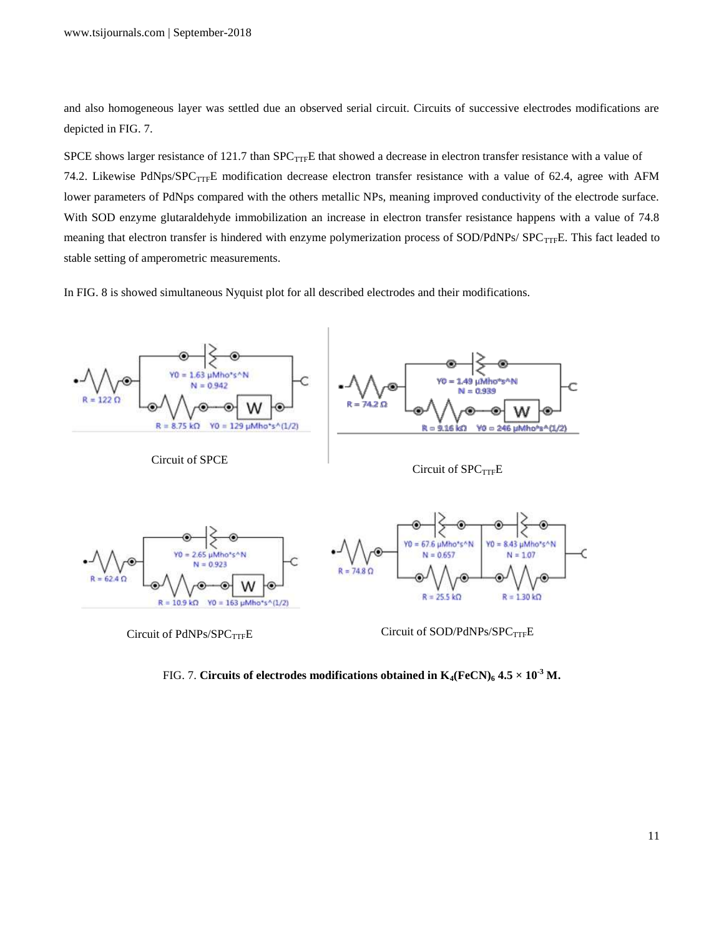and also homogeneous layer was settled due an observed serial circuit. Circuits of successive electrodes modifications are depicted in FIG. 7.

SPCE shows larger resistance of 121.7 than  $SPC_{TTF}E$  that showed a decrease in electron transfer resistance with a value of 74.2. Likewise PdNps/SPC<sub>TTF</sub>E modification decrease electron transfer resistance with a value of 62.4, agree with AFM lower parameters of PdNps compared with the others metallic NPs, meaning improved conductivity of the electrode surface. With SOD enzyme glutaraldehyde immobilization an increase in electron transfer resistance happens with a value of 74.8 meaning that electron transfer is hindered with enzyme polymerization process of SOD/PdNPs/ SPC<sub>TTF</sub>E. This fact leaded to stable setting of amperometric measurements.

In FIG. 8 is showed simultaneous Nyquist plot for all described electrodes and their modifications.



FIG. 7. Circuits of electrodes modifications obtained in  $K_4$ (FeCN)<sub>6</sub> 4.5  $\times$  10<sup>-3</sup> M.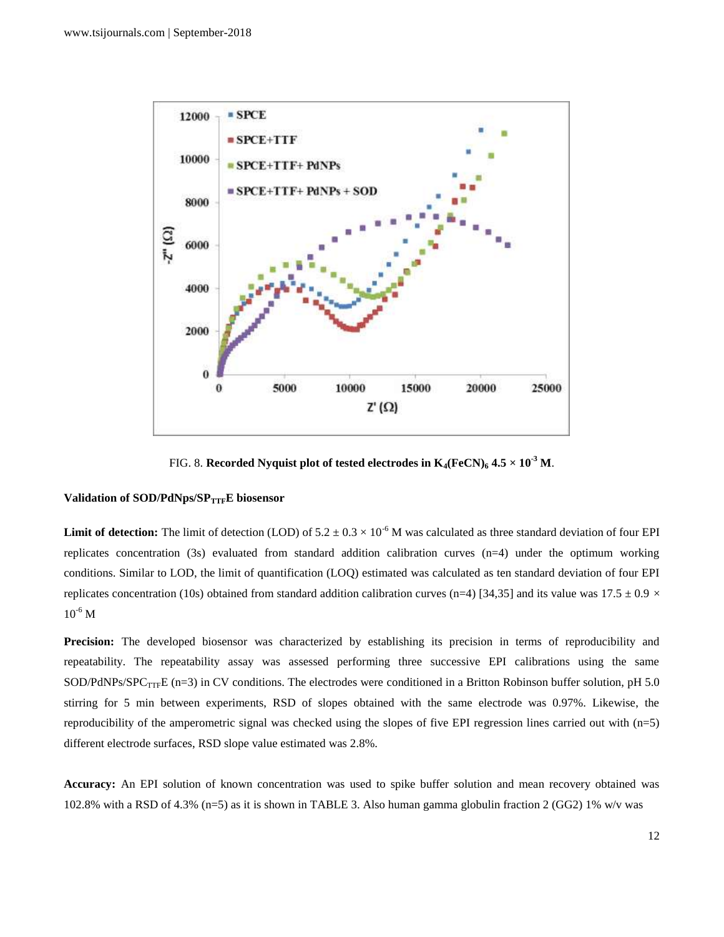

FIG. 8. **Recorded Nyquist plot of tested electrodes in**  $K_4$ **(FeCN)<sub>6</sub> 4.5**  $\times$  **10<sup>-3</sup> M.** 

#### **Validation of SOD/PdNps/SPTTFE biosensor**

**Limit of detection:** The limit of detection (LOD) of  $5.2 \pm 0.3 \times 10^{-6}$  M was calculated as three standard deviation of four EPI replicates concentration (3s) evaluated from standard addition calibration curves (n=4) under the optimum working conditions. Similar to LOD, the limit of quantification (LOQ) estimated was calculated as ten standard deviation of four EPI replicates concentration (10s) obtained from standard addition calibration curves (n=4) [34,35] and its value was 17.5  $\pm$  0.9  $\times$  $10^{-6}$  M

**Precision:** The developed biosensor was characterized by establishing its precision in terms of reproducibility and repeatability. The repeatability assay was assessed performing three successive EPI calibrations using the same SOD/PdNPs/SPC<sub>TTF</sub>E (n=3) in CV conditions. The electrodes were conditioned in a Britton Robinson buffer solution, pH 5.0 stirring for 5 min between experiments, RSD of slopes obtained with the same electrode was 0.97%. Likewise, the reproducibility of the amperometric signal was checked using the slopes of five EPI regression lines carried out with (n=5) different electrode surfaces, RSD slope value estimated was 2.8%.

**Accuracy:** An EPI solution of known concentration was used to spike buffer solution and mean recovery obtained was 102.8% with a RSD of 4.3% (n=5) as it is shown in TABLE 3. Also human gamma globulin fraction 2 (GG2) 1% w/v was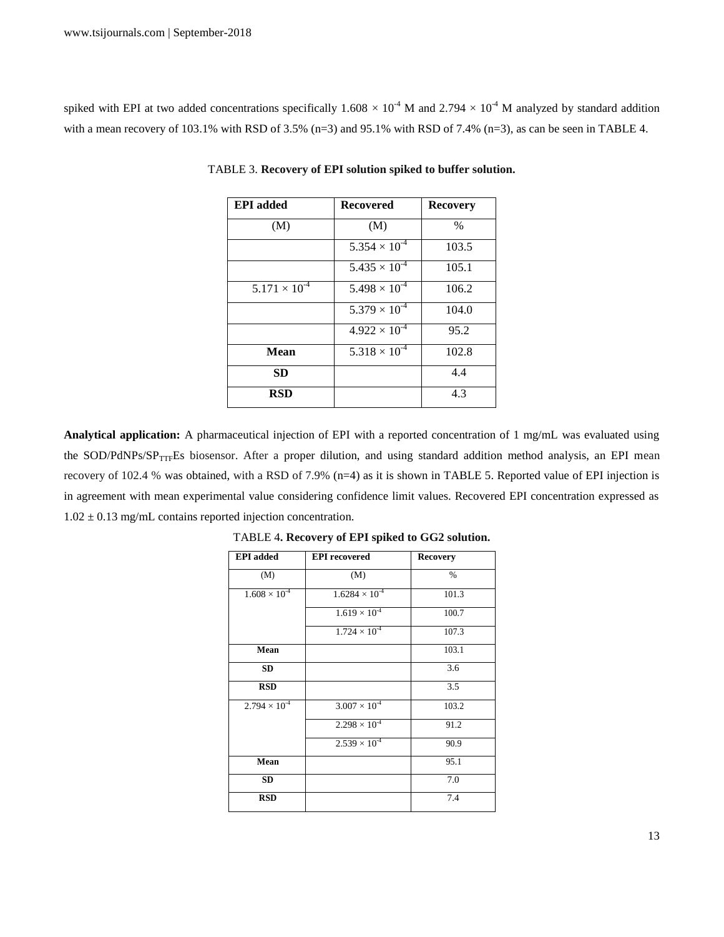spiked with EPI at two added concentrations specifically  $1.608 \times 10^{-4}$  M and  $2.794 \times 10^{-4}$  M analyzed by standard addition with a mean recovery of 103.1% with RSD of 3.5% (n=3) and 95.1% with RSD of 7.4% (n=3), as can be seen in TABLE 4.

| <b>EPI</b> added       | <b>Recovered</b>       | <b>Recovery</b> |
|------------------------|------------------------|-----------------|
| (M)                    | (M)                    | $\frac{0}{0}$   |
|                        | $5.354 \times 10^{-4}$ | 103.5           |
|                        | $5.435 \times 10^{-4}$ | 105.1           |
| $5.171 \times 10^{-4}$ | $5.498 \times 10^{-4}$ | 106.2           |
|                        | $5.379 \times 10^{-4}$ | 104.0           |
|                        | $4.922 \times 10^{-4}$ | 95.2            |
| Mean                   | $5.318 \times 10^{-4}$ | 102.8           |
| <b>SD</b>              |                        | 4.4             |
| <b>RSD</b>             |                        | 4.3             |

TABLE 3. **Recovery of EPI solution spiked to buffer solution.**

**Analytical application:** A pharmaceutical injection of EPI with a reported concentration of 1 mg/mL was evaluated using the SOD/PdNPs/SP<sub>TTF</sub>Es biosensor. After a proper dilution, and using standard addition method analysis, an EPI mean recovery of 102.4 % was obtained, with a RSD of 7.9% (n=4) as it is shown in TABLE 5. Reported value of EPI injection is in agreement with mean experimental value considering confidence limit values. Recovered EPI concentration expressed as  $1.02 \pm 0.13$  mg/mL contains reported injection concentration.

| <b>EPI</b> added       | <b>EPI</b> recovered    | <b>Recovery</b> |
|------------------------|-------------------------|-----------------|
| (M)                    | (M)                     | $\%$            |
| $1.608 \times 10^{-4}$ | $1.6284 \times 10^{-4}$ | 101.3           |
|                        | $1.619 \times 10^{-4}$  | 100.7           |
|                        | $1.724 \times 10^{-4}$  | 107.3           |
| Mean                   |                         | 103.1           |
| <b>SD</b>              |                         | 3.6             |
| <b>RSD</b>             |                         | 3.5             |
| $2.794 \times 10^{-4}$ | $3.007 \times 10^{-4}$  | 103.2           |
|                        | $2.298 \times 10^{-4}$  | 91.2            |
|                        | $2.539 \times 10^{-4}$  | 90.9            |
| Mean                   |                         | 95.1            |
| <b>SD</b>              |                         | 7.0             |
| <b>RSD</b>             |                         | 7.4             |

TABLE 4**. Recovery of EPI spiked to GG2 solution.**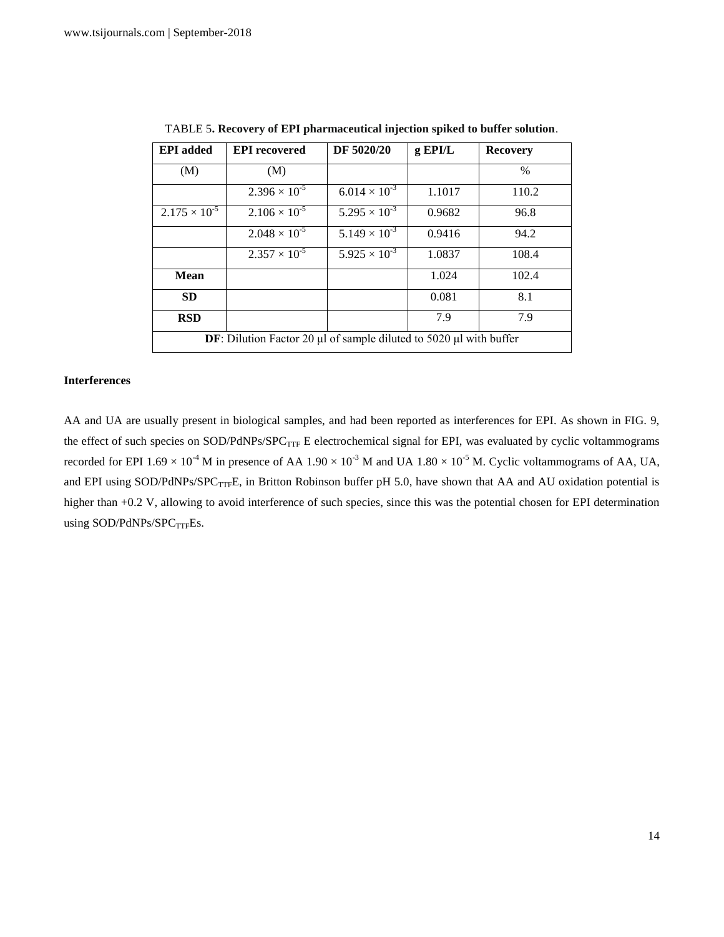| <b>EPI</b> added                                                                     | <b>EPI</b> recovered   | DF 5020/20             | g EPI/L | <b>Recovery</b> |
|--------------------------------------------------------------------------------------|------------------------|------------------------|---------|-----------------|
| (M)                                                                                  | (M)                    |                        |         | $\frac{0}{0}$   |
|                                                                                      | $2.396 \times 10^{-5}$ | $6.014 \times 10^{-3}$ | 1.1017  | 110.2           |
| $2.175 \times 10^{-5}$                                                               | $2.106 \times 10^{-5}$ | $5.295 \times 10^{-3}$ | 0.9682  | 96.8            |
|                                                                                      | $2.048 \times 10^{-5}$ | $5.149 \times 10^{-3}$ | 0.9416  | 94.2            |
|                                                                                      | $2.357 \times 10^{-5}$ | $5.925 \times 10^{-3}$ | 1.0837  | 108.4           |
| <b>Mean</b>                                                                          |                        |                        | 1.024   | 102.4           |
| <b>SD</b>                                                                            |                        |                        | 0.081   | 8.1             |
| <b>RSD</b>                                                                           |                        |                        | 7.9     | 7.9             |
| <b>DF</b> : Dilution Factor 20 $\mu$ l of sample diluted to 5020 $\mu$ l with buffer |                        |                        |         |                 |

TABLE 5**. Recovery of EPI pharmaceutical injection spiked to buffer solution**.

#### **Interferences**

AA and UA are usually present in biological samples, and had been reported as interferences for EPI. As shown in FIG. 9, the effect of such species on SOD/PdNPs/SPC<sub>TTF</sub> E electrochemical signal for EPI, was evaluated by cyclic voltammograms recorded for EPI  $1.69 \times 10^{-4}$  M in presence of AA  $1.90 \times 10^{-3}$  M and UA  $1.80 \times 10^{-5}$  M. Cyclic voltammograms of AA, UA, and EPI using SOD/PdNPs/SPC<sub>TTF</sub>E, in Britton Robinson buffer pH 5.0, have shown that AA and AU oxidation potential is higher than +0.2 V, allowing to avoid interference of such species, since this was the potential chosen for EPI determination using SOD/PdNPs/SPC $_{\mathrm{TTF}}$ Es.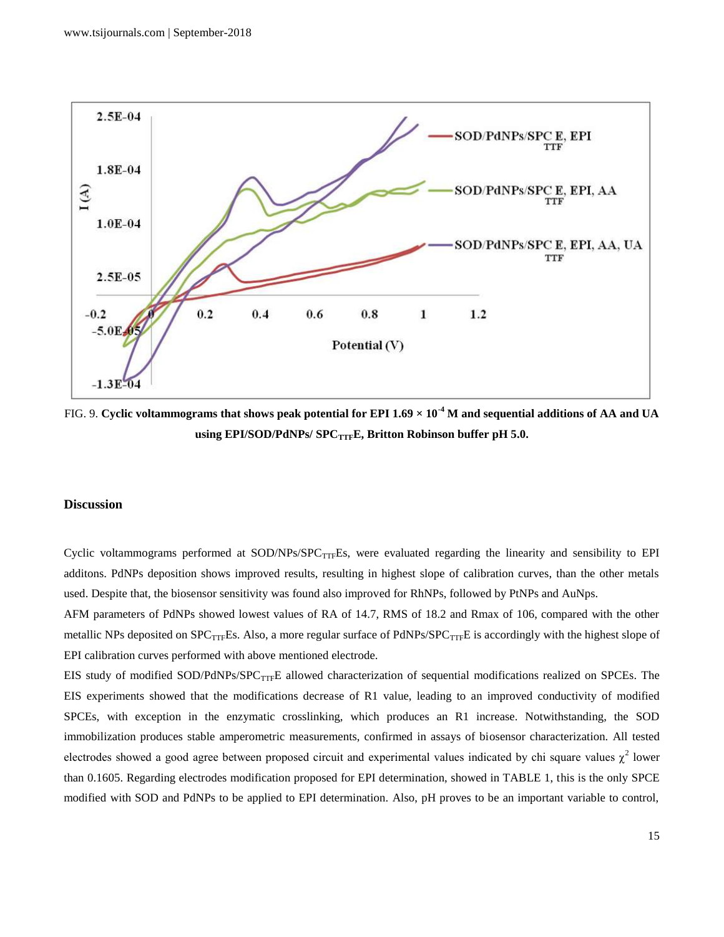

FIG. 9. **Cyclic voltammograms that shows peak potential for EPI 1.69 × 10-4 M and sequential additions of AA and UA using EPI/SOD/PdNPs/ SPCTTFE, Britton Robinson buffer pH 5.0.**

# **Discussion**

Cyclic voltammograms performed at  $SOD/NPs/SPC<sub>TTF</sub>Es$ , were evaluated regarding the linearity and sensibility to EPI additons. PdNPs deposition shows improved results, resulting in highest slope of calibration curves, than the other metals used. Despite that, the biosensor sensitivity was found also improved for RhNPs, followed by PtNPs and AuNps.

AFM parameters of PdNPs showed lowest values of RA of 14.7, RMS of 18.2 and Rmax of 106, compared with the other metallic NPs deposited on  $SPC_{TTF}$ Es. Also, a more regular surface of PdNPs/SPC $_{TTF}$ E is accordingly with the highest slope of EPI calibration curves performed with above mentioned electrode.

EIS study of modified SOD/PdNPs/SPC<sub>TTF</sub>E allowed characterization of sequential modifications realized on SPCEs. The EIS experiments showed that the modifications decrease of R1 value, leading to an improved conductivity of modified SPCEs, with exception in the enzymatic crosslinking, which produces an R1 increase. Notwithstanding, the SOD immobilization produces stable amperometric measurements, confirmed in assays of biosensor characterization. All tested electrodes showed a good agree between proposed circuit and experimental values indicated by chi square values  $\chi^2$  lower than 0.1605. Regarding electrodes modification proposed for EPI determination, showed in TABLE 1, this is the only SPCE modified with SOD and PdNPs to be applied to EPI determination. Also, pH proves to be an important variable to control,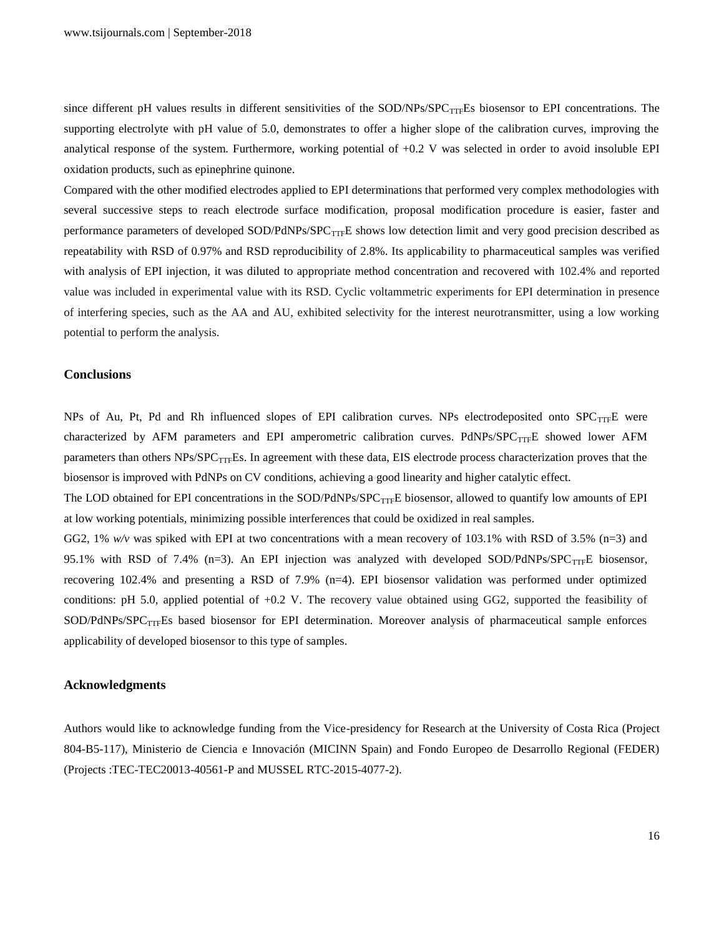since different pH values results in different sensitivities of the  $SOD/NPs/SPC<sub>TTF</sub>ES$  biosensor to EPI concentrations. The supporting electrolyte with pH value of 5.0, demonstrates to offer a higher slope of the calibration curves, improving the analytical response of the system. Furthermore, working potential of +0.2 V was selected in order to avoid insoluble EPI oxidation products, such as epinephrine quinone.

Compared with the other modified electrodes applied to EPI determinations that performed very complex methodologies with several successive steps to reach electrode surface modification, proposal modification procedure is easier, faster and performance parameters of developed SOD/PdNPs/SPC<sub>TTF</sub>E shows low detection limit and very good precision described as repeatability with RSD of 0.97% and RSD reproducibility of 2.8%. Its applicability to pharmaceutical samples was verified with analysis of EPI injection, it was diluted to appropriate method concentration and recovered with 102.4% and reported value was included in experimental value with its RSD. Cyclic voltammetric experiments for EPI determination in presence of interfering species, such as the AA and AU, exhibited selectivity for the interest neurotransmitter, using a low working potential to perform the analysis.

#### **Conclusions**

NPs of Au, Pt, Pd and Rh influenced slopes of EPI calibration curves. NPs electrodeposited onto  $SPC_{TTF}E$  were characterized by AFM parameters and EPI amperometric calibration curves. PdNPs/SPC $_{\text{TTF}}$ E showed lower AFM parameters than others NPs/SPC<sub>TTF</sub>Es. In agreement with these data, EIS electrode process characterization proves that the biosensor is improved with PdNPs on CV conditions, achieving a good linearity and higher catalytic effect.

The LOD obtained for EPI concentrations in the SOD/PdNPs/SPC<sub>TTF</sub>E biosensor, allowed to quantify low amounts of EPI at low working potentials, minimizing possible interferences that could be oxidized in real samples.

GG2, 1% *w/v* was spiked with EPI at two concentrations with a mean recovery of 103.1% with RSD of 3.5% (n=3) and 95.1% with RSD of 7.4% (n=3). An EPI injection was analyzed with developed SOD/PdNPs/SPC<sub>TTF</sub>E biosensor, recovering 102.4% and presenting a RSD of 7.9% (n=4). EPI biosensor validation was performed under optimized conditions: pH 5.0, applied potential of +0.2 V. The recovery value obtained using GG2, supported the feasibility of SOD/PdNPs/SPC<sub>TTF</sub>Es based biosensor for EPI determination. Moreover analysis of pharmaceutical sample enforces applicability of developed biosensor to this type of samples.

### **Acknowledgments**

Authors would like to acknowledge funding from the Vice-presidency for Research at the University of Costa Rica (Project 804-B5-117), Ministerio de Ciencia e Innovación (MICINN Spain) and Fondo Europeo de Desarrollo Regional (FEDER) (Projects :TEC-TEC20013-40561-P and MUSSEL RTC-2015-4077-2).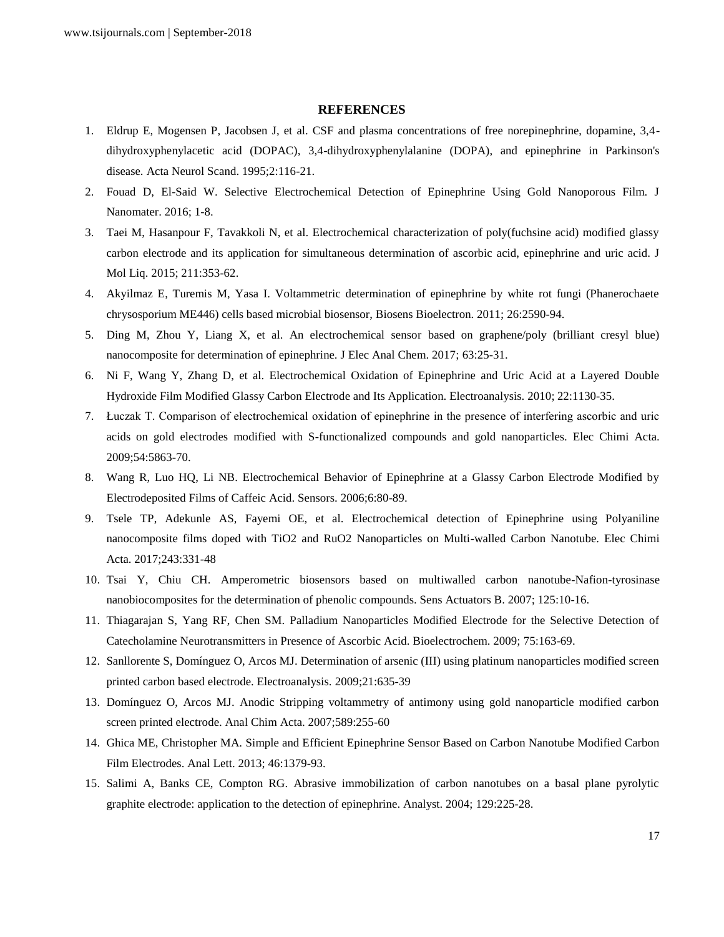#### **REFERENCES**

- 1. Eldrup E, Mogensen P, Jacobsen J, et al. CSF and plasma concentrations of free norepinephrine, dopamine, 3,4 dihydroxyphenylacetic acid (DOPAC), 3,4-dihydroxyphenylalanine (DOPA), and epinephrine in Parkinson's disease. Acta Neurol Scand. 1995;2:116-21.
- 2. Fouad D, El-Said W. Selective Electrochemical Detection of Epinephrine Using Gold Nanoporous Film. J Nanomater. 2016; 1-8.
- 3. Taei M, Hasanpour F, Tavakkoli N, et al. Electrochemical characterization of poly(fuchsine acid) modified glassy carbon electrode and its application for simultaneous determination of ascorbic acid, epinephrine and uric acid. J Mol Liq. 2015; 211:353-62.
- 4. Akyilmaz E, Turemis M, Yasa I. Voltammetric determination of epinephrine by white rot fungi (Phanerochaete chrysosporium ME446) cells based microbial biosensor, Biosens Bioelectron. 2011; 26:2590-94.
- 5. Ding M, Zhou Y, Liang X, et al. An electrochemical sensor based on graphene/poly (brilliant cresyl blue) nanocomposite for determination of epinephrine. J Elec Anal Chem. 2017; 63:25-31.
- 6. Ni F, Wang Y, Zhang D, et al. Electrochemical Oxidation of Epinephrine and Uric Acid at a Layered Double Hydroxide Film Modified Glassy Carbon Electrode and Its Application. Electroanalysis. 2010; 22:1130-35.
- 7. Łuczak T. Comparison of electrochemical oxidation of epinephrine in the presence of interfering ascorbic and uric acids on gold electrodes modified with S-functionalized compounds and gold nanoparticles. Elec Chimi Acta. 2009;54:5863-70.
- 8. Wang R, Luo HQ, Li NB. Electrochemical Behavior of Epinephrine at a Glassy Carbon Electrode Modified by Electrodeposited Films of Caffeic Acid. Sensors. 2006;6:80-89.
- 9. Tsele TP, Adekunle AS, Fayemi OE, et al. Electrochemical detection of Epinephrine using Polyaniline nanocomposite films doped with TiO2 and RuO2 Nanoparticles on Multi-walled Carbon Nanotube. Elec Chimi Acta. 2017;243:331-48
- 10. Tsai Y, Chiu CH. Amperometric biosensors based on multiwalled carbon nanotube-Nafion-tyrosinase nanobiocomposites for the determination of phenolic compounds. Sens Actuators B. 2007; 125:10-16.
- 11. Thiagarajan S, Yang RF, Chen SM. Palladium Nanoparticles Modified Electrode for the Selective Detection of Catecholamine Neurotransmitters in Presence of Ascorbic Acid. Bioelectrochem. 2009; 75:163-69.
- 12. Sanllorente S, Domínguez O, Arcos MJ. Determination of arsenic (III) using platinum nanoparticles modified screen printed carbon based electrode. Electroanalysis. 2009;21:635-39
- 13. Domínguez O, Arcos MJ. Anodic Stripping voltammetry of antimony using gold nanoparticle modified carbon screen printed electrode. Anal Chim Acta. 2007;589:255-60
- 14. Ghica ME, Christopher MA. Simple and Efficient Epinephrine Sensor Based on Carbon Nanotube Modified Carbon Film Electrodes. Anal Lett. 2013; 46:1379-93.
- 15. Salimi A, Banks CE, Compton RG. Abrasive immobilization of carbon nanotubes on a basal plane pyrolytic graphite electrode: application to the detection of epinephrine. Analyst. 2004; 129:225-28.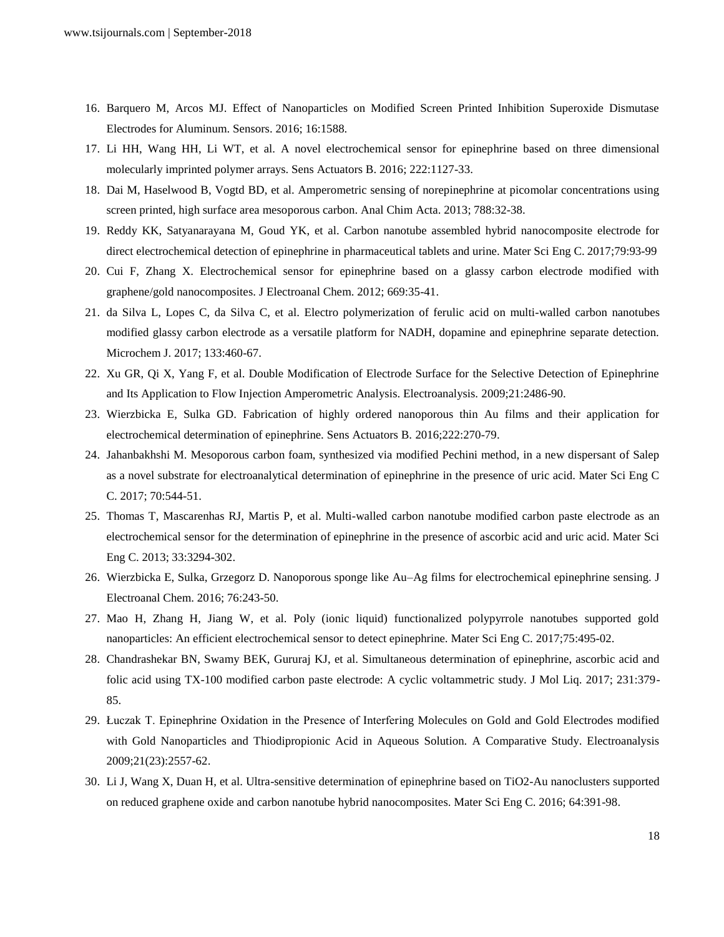- 16. Barquero M, Arcos MJ. Effect of Nanoparticles on Modified Screen Printed Inhibition Superoxide Dismutase Electrodes for Aluminum. Sensors. 2016; 16:1588.
- 17. Li HH, Wang HH, Li WT, et al. A novel electrochemical sensor for epinephrine based on three dimensional molecularly imprinted polymer arrays. Sens Actuators B. 2016; 222:1127-33.
- 18. Dai M, Haselwood B, Vogtd BD, et al. Amperometric sensing of norepinephrine at picomolar concentrations using screen printed, high surface area mesoporous carbon. Anal Chim Acta. 2013; 788:32-38.
- 19. Reddy KK, Satyanarayana M, Goud YK, et al. Carbon nanotube assembled hybrid nanocomposite electrode for direct electrochemical detection of epinephrine in pharmaceutical tablets and urine. Mater Sci Eng C. 2017;79:93-99
- 20. Cui F, Zhang X. Electrochemical sensor for epinephrine based on a glassy carbon electrode modified with graphene/gold nanocomposites. J Electroanal Chem. 2012; 669:35-41.
- 21. da Silva L, Lopes C, da Silva C, et al. Electro polymerization of ferulic acid on multi-walled carbon nanotubes modified glassy carbon electrode as a versatile platform for NADH, dopamine and epinephrine separate detection. Microchem J. 2017; 133:460-67.
- 22. Xu GR, Qi X, Yang F, et al. Double Modification of Electrode Surface for the Selective Detection of Epinephrine and Its Application to Flow Injection Amperometric Analysis. Electroanalysis. 2009;21:2486-90.
- 23. Wierzbicka E, Sulka GD. Fabrication of highly ordered nanoporous thin Au films and their application for electrochemical determination of epinephrine. Sens Actuators B. 2016;222:270-79.
- 24. Jahanbakhshi M. Mesoporous carbon foam, synthesized via modified Pechini method, in a new dispersant of Salep as a novel substrate for electroanalytical determination of epinephrine in the presence of uric acid. Mater Sci Eng C C. 2017; 70:544-51.
- 25. Thomas T, Mascarenhas RJ, Martis P, et al. Multi-walled carbon nanotube modified carbon paste electrode as an electrochemical sensor for the determination of epinephrine in the presence of ascorbic acid and uric acid. Mater Sci Eng C. 2013; 33:3294-302.
- 26. Wierzbicka E, Sulka, Grzegorz D. Nanoporous sponge like Au–Ag films for electrochemical epinephrine sensing. J Electroanal Chem. 2016; 76:243-50.
- 27. Mao H, Zhang H, Jiang W, et al. Poly (ionic liquid) functionalized polypyrrole nanotubes supported gold nanoparticles: An efficient electrochemical sensor to detect epinephrine. Mater Sci Eng C. 2017;75:495-02.
- 28. Chandrashekar BN, Swamy BEK, Gururaj KJ, et al. Simultaneous determination of epinephrine, ascorbic acid and folic acid using TX-100 modified carbon paste electrode: A cyclic voltammetric study. J Mol Liq. 2017; 231:379- 85.
- 29. Łuczak T. Epinephrine Oxidation in the Presence of Interfering Molecules on Gold and Gold Electrodes modified with Gold Nanoparticles and Thiodipropionic Acid in Aqueous Solution. A Comparative Study. Electroanalysis 2009;21(23):2557-62.
- 30. Li J, Wang X, Duan H, et al. Ultra-sensitive determination of epinephrine based on TiO2-Au nanoclusters supported on reduced graphene oxide and carbon nanotube hybrid nanocomposites. Mater Sci Eng C. 2016; 64:391-98.